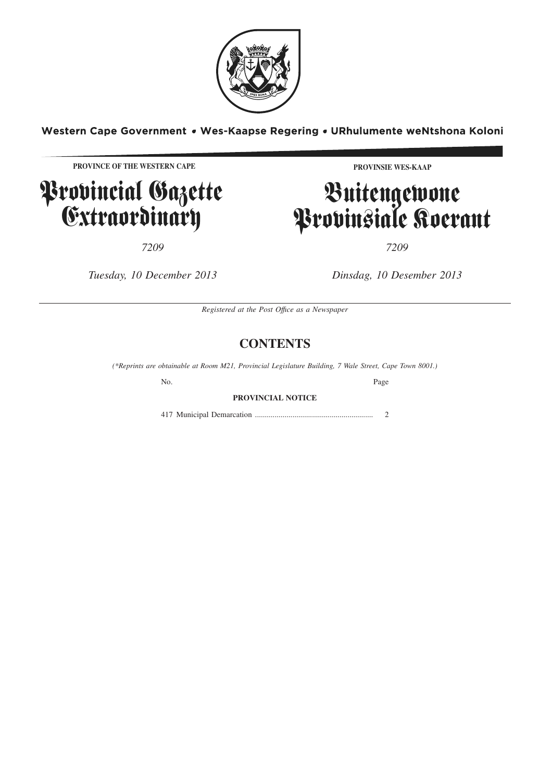

Western Cape Government . Wes-Kaapse Regering . URhulumente weNtshona Koloni

**PROVINCE OF THE WESTERN CAPE**

**P**rovincial Gazette Extraordinary

*7209 7209*

**PROVINSIE WES-KAAP**

# Buitengewone Provinsiale Koerant

*Tuesday, 10 December 2013 Dinsdag, 10 Desember 2013*

*Registered at the Post Offıce as a Newspaper*

## **CONTENTS**

*(\*Reprints are obtainable at Room M21, Provincial Legislature Building, 7 Wale Street, Cape Town 8001.)*

No. Page

**PROVINCIAL NOTICE**

417 Municipal Demarcation ............................................................ 2